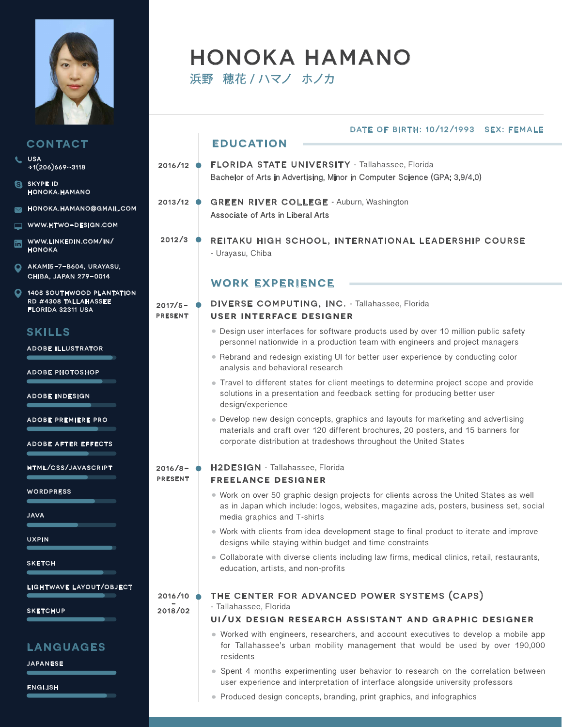

|                                                                 |                              | DATE OF BIRTH: 10/12/1993 SEX: FEMALE                                                                                                                                                                                                      |
|-----------------------------------------------------------------|------------------------------|--------------------------------------------------------------------------------------------------------------------------------------------------------------------------------------------------------------------------------------------|
| CONTACT                                                         |                              | <b>EDUCATION</b>                                                                                                                                                                                                                           |
| <b>USA</b><br>$+1(206)669 - 3118$                               | $2016/12$ $\bullet$          | FLORIDA STATE UNIVERSITY - Tallahassee, Florida                                                                                                                                                                                            |
| <b>SKYPE ID</b><br><b>HONOKA.HAMANO</b>                         |                              | Bachelor of Arts in Advertising, Minor in Computer Science (GPA: 3.9/4.0)                                                                                                                                                                  |
| HONOKA.HAMANO@GMAIL.COM                                         | $2013/12$ $\bullet$          | <b>GREEN RIVER COLLEGE - Auburn, Washington</b><br>Associate of Arts in Liberal Arts                                                                                                                                                       |
| WWW.HTWO-DESIGN.COM                                             |                              |                                                                                                                                                                                                                                            |
| WWW.LINKEDIN.COM/IN/<br><b>HONOKA</b>                           | 2012/3                       | REITAKU HIGH SCHOOL, INTERNATIONAL LEADERSHIP COURSE<br>- Urayasu, Chiba                                                                                                                                                                   |
| AKAMI5-7-B604, URAYASU,<br>CHIBA, JAPAN 279-0014                |                              | <b>WORK EXPERIENCE</b>                                                                                                                                                                                                                     |
| <b>1405 SOUTHWOOD PLANTATION</b><br><b>RD #4308 TALLAHASSEE</b> |                              |                                                                                                                                                                                                                                            |
| <b>FLORIDA 32311 USA</b>                                        | $2017/5 -$<br><b>PRESENT</b> | <b>DIVERSE COMPUTING, INC. - Tallahassee, Florida</b><br><b>USER INTERFACE DESIGNER</b>                                                                                                                                                    |
| <b>SKILLS</b>                                                   |                              | • Design user interfaces for software products used by over 10 million public safety<br>personnel nationwide in a production team with engineers and project managers                                                                      |
| <b>ADOBE ILLUSTRATOR</b><br><b>ADOBE PHOTOSHOP</b>              |                              | . Rebrand and redesign existing UI for better user experience by conducting color<br>analysis and behavioral research                                                                                                                      |
| <b>ADOBE INDESIGN</b>                                           |                              | • Travel to different states for client meetings to determine project scope and provide<br>solutions in a presentation and feedback setting for producing better user<br>design/experience                                                 |
| <b>ADOBE PREMIERE PRO</b><br><b>ADOBE AFTER EFFECTS</b>         |                              | • Develop new design concepts, graphics and layouts for marketing and advertising<br>materials and craft over 120 different brochures, 20 posters, and 15 banners for<br>corporate distribution at tradeshows throughout the United States |
|                                                                 |                              |                                                                                                                                                                                                                                            |
| HTML/CSS/JAVASCRIPT                                             | $2016/8 -$<br><b>PRESENT</b> | H2DESIGN - Tallahassee, Florida<br><b>FREELANCE DESIGNER</b>                                                                                                                                                                               |
| <b>WORDPRESS</b>                                                |                              | . Work on over 50 graphic design projects for clients across the United States as well                                                                                                                                                     |
| <b>JAVA</b>                                                     |                              | as in Japan which include: logos, websites, magazine ads, posters, business set, social<br>media graphics and T-shirts                                                                                                                     |
| <b>UXPIN</b>                                                    |                              | . Work with clients from idea development stage to final product to iterate and improve<br>designs while staying within budget and time constraints                                                                                        |
| <b>SKETCH</b>                                                   |                              | • Collaborate with diverse clients including law firms, medical clinics, retail, restaurants,<br>education, artists, and non-profits                                                                                                       |
| <b>LIGHTWAVE LAYOUT/OBJECT</b>                                  | 2016/10                      | THE CENTER FOR ADVANCED POWER SYSTEMS (CAPS)                                                                                                                                                                                               |
| <b>SKETCHUP</b>                                                 | 2018/02                      | - Tallahassee, Florida                                                                                                                                                                                                                     |
|                                                                 |                              | UI/UX DESIGN RESEARCH ASSISTANT AND GRAPHIC DESIGNER                                                                                                                                                                                       |
| <b>LANGUAGES</b><br><b>JAPANESE</b>                             |                              | • Worked with engineers, researchers, and account executives to develop a mobile app<br>for Tallahassee's urban mobility management that would be used by over 190,000<br>residents                                                        |
|                                                                 |                              | • Spent 4 months experimenting user behavior to research on the correlation between<br>user experience and interpretation of interface alongside university professors                                                                     |

HONOKA HAMANO

浜野 穂花 / ハマノ ホノカ

english

w

ä

 $\blacksquare$ 

 $\boldsymbol{\Theta}$ 

 $\blacksquare$  $\overline{\phantom{0}}$  $\blacksquare$ 

 $\overline{\mathsf{Q}}$ 

 $\overline{\mathbf{Q}}$ 

u<br>C

 $\blacksquare$ 

 $s$ 

 $\blacksquare$ 

 $s$ 

Produced design concepts, branding, print graphics, and infographics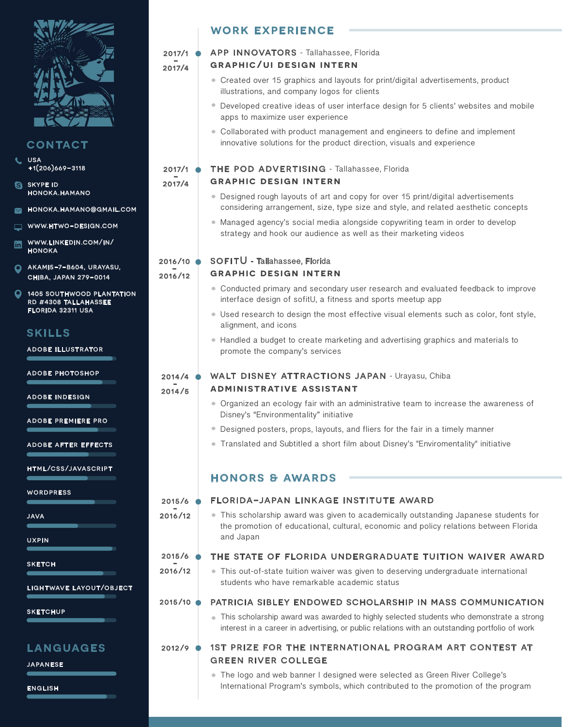

## **CONTACT**

- usa +1(206)669-3118
- **SKYPE ID** honoka.hamano
- honoka.hamano@gmail.com
- www.htwo-design.com
- www.linkedin.com/in/ honoka
- akami5-7-b604, urayasu,  $\mathbf{\Omega}$ chiba, japan 279-0014
- **405 SOUTHWOOD PLANTATION** rd #4308 tallahassee florida 32311 usa

# skills

adobe illustrator

adobe photoshop

adobe indesign

adobe premiere pro

adobe after effects

html/css/javascript

**WORDPRESS** 

java

**SKETCH** 

lightwave layout/object

**SKETCHUP** 

### languages

japanese

english

# work experience

### $2017/1$   $\bullet$ <br> $2017/4$ APP INNOVATORS - Tallahassee, Florida

### **graphic/ui design intern**

- Created over 15 graphics and layouts for print/digital advertisements, product illustrations, and company logos for clients
- Developed creative ideas of user interface design for 5 clients' websites and mobile apps to maximize user experience
- Collaborated with product management and engineers to define and implement innovative solutions for the product direction, visuals and experience

### $2017/1$   $\bullet$ <br> $2017/4$ THE POD ADVERTISING - Tallahassee, Florida

### **graphic design intern**

- Designed rough layouts of art and copy for over 15 print/digital advertisements considering arrangement, size, type size and style, and related aesthetic concepts
- Managed agency's social media alongside copywriting team in order to develop strategy and hook our audience as well as their marketing videos

### 2016/10 ●<br>-<br>2016/12 SOFITU - Tallahassee, Florida

### **graphic design intern**

- Conducted primary and secondary user research and evaluated feedback to improve interface design of sofitU, a fitness and sports meetup app
- Used research to design the most effective visual elements such as color, font style, alignment, and icons
- Handled a budget to create marketing and advertising graphics and materials to promote the company's services

### WALT DISNEY ATTRACTIONS JAPAN - Urayasu, Chiba

2014/4<br>2014/5

- **administrative assistant**
	- Organized an ecology fair with an administrative team to increase the awareness of Disney's "Environmentality" initiative
	- Designed posters, props, layouts, and fliers for the fair in a timely manner
	- Translated and Subtitled a short film about Disney's "Enviromentality" initiative

# honors & awards

### florida-japan linkage institute award  $2015/6$   $\frac{1}{2016/12}$

This scholarship award was given to academically outstanding Japanese students for the promotion of educational, cultural, economic and policy relations between Florida and Japan

### THE STATE OF FLORIDA UNDERGRADUATE TUITION WAIVER AWARD  $2015/6$   $\frac{1}{2016/12}$

This out-of-state tuition waiver was given to deserving undergraduate international students who have remarkable academic status

#### patricia sibley endowed scholarship in mass communication 2015/10

This scholarship award was awarded to highly selected students who demonstrate a strong interest in a career in advertising, or public relations with an outstanding portfolio of work

### 1st prize for the international program art contest at green river college 2012/9

The logo and web banner I designed were selected as Green River College's International Program's symbols, which contributed to the promotion of the program

**UXPIN**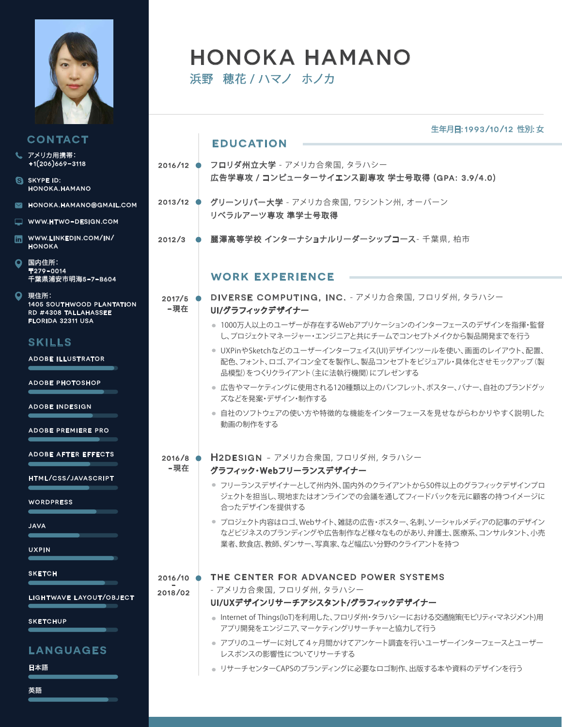

 $\ddot{\boldsymbol{\theta}}$ 

 $\blacksquare$  $\overline{\phantom{m}}$  $\begin{array}{c} \hline \end{array}$ 

 $\bullet$ 

 $\bullet$ 

|                                                                  |                           | 生年月日: 1993/10/12 性別: 女                                                                                                                            |
|------------------------------------------------------------------|---------------------------|---------------------------------------------------------------------------------------------------------------------------------------------------|
| CONTACT                                                          |                           | <b>EDUCATION</b>                                                                                                                                  |
| アメリカ用携帯:<br>$+1(206)669-3118$                                    | $2016/12$ $\bullet$       | <b>フロリダ州立大学</b> - アメリカ合衆国, タラハシー                                                                                                                  |
| <b>SKYPE ID:</b><br><b>HONOKA.HAMANO</b>                         |                           | 広告学専攻 / コンピューターサイエンス副専攻 学士号取得 (GPA: 3.9/4.0)                                                                                                      |
| HONOKA.HAMANO@GMAIL.COM                                          | $2013/12$ $\bullet$       | グリーンリバー大学 - アメリカ合衆国, ワシントン州, オーバーン                                                                                                                |
| WWW.HTWO-DESIGN.COM                                              |                           | リベラルアーツ専攻 準学士号取得                                                                                                                                  |
| WWW.LINKEDIN.COM/IN/<br><b>HONOKA</b>                            | 2012/3                    | 麗澤高等学校 インターナショナルリーダーシップコース- 千葉県, 柏市                                                                                                               |
| 国内住所:<br>〒279-0014<br>千葉県浦安市明海5-7-B604                           |                           | <b>WORK EXPERIENCE</b>                                                                                                                            |
| 現住所:<br><b>1405 SOUTHWOOD PLANTATION</b><br>RD #4308 TALLAHASSEE | $2017/5$ $\bullet$<br>−現在 | DIVERSE COMPUTING, INC. - アメリカ合衆国, フロリダ州, タラハシー<br>UI/グラフィックデザイナー                                                                                 |
| <b>FLORIDA 32311 USA</b><br><b>SKILLS</b>                        |                           | ● 1000万人以上のユーザーが存在するWebアプリケーションのインターフェースのデザインを指揮・監督<br>し、プロジェクトマネージャー・エンジニアと共にチームでコンセプトメイクから製品開発までを行う                                             |
| <b>ADOBE ILLUSTRATOR</b>                                         |                           | ● UXPinやSketchなどのユーザーインターフェイス(UI)デザインツールを使い、画面のレイアウト、配置、<br>配色、フォント、ロゴ、アイコン全てを製作し、製品コンセプトをビジュアル・具体化させモックアップ(製<br>品模型)をつくりクライアント (主に法執行機関) にプレゼンする |
| <b>ADOBE PHOTOSHOP</b>                                           |                           | ● 広告やマーケティングに使用される120種類以上のパンフレット、ポスター、バナー、自社のブランドグッ<br>ズなどを発案・デザイン・制作する                                                                           |
| ADOBE INDESIGN<br><b>ADOBE PREMIERE PRO</b>                      |                           | ● 自社のソフトウェアの使い方や特徴的な機能をインターフェースを見せながらわかりやすく説明した<br>動画の制作をする                                                                                       |
| <b>ADOBE AFTER EFFECTS</b><br><b>HTML/CSS/JAVASCRIPT</b>         | $2016/8$ $\bullet$<br>-現在 | H2DESIGN - アメリカ合衆国, フロリダ州, タラハシー<br>グラフィック・Webフリーランスデザイナー                                                                                         |
| WORDPRESS                                                        |                           | ● フリーランスデザイナーとして州内外、国内外のクライアントから50件以上のグラフィックデザインプロ<br>ジェクトを担当し、現地またはオンラインでの会議を通してフィードバックを元に顧客の持つイメージに<br>合ったデザインを提供する                             |
| <b>JAVA</b><br><b>UXPIN</b>                                      |                           | ● プロジェクト内容はロゴ、Webサイト、雑誌の広告・ポスター、名刺、ソーシャルメディアの記事のデザイン<br>などビジネスのブランディングや広告制作など様々なものがあり、弁護士、医療系、コンサルタント、小売<br>業者、飲食店、教師、ダンサー、写真家、など幅広い分野のクライアントを持つ  |
| <b>SKETCH</b>                                                    | $2016/10$ $\bullet$       | THE CENTER FOR ADVANCED POWER SYSTEMS                                                                                                             |
| LIGHTWAVE LAYOUT/OBJECT                                          | 2018/02                   | - アメリカ合衆国, フロリダ州, タラハシー<br>UI/UXデザインリサーチアシスタント/グラフィックデザイナー                                                                                        |
| <b>SKETCHUP</b>                                                  |                           | ● Internet of Things(IoT)を利用した、フロリダ州・タラハシーにおける交通施策(モビリティ・マネジメント)用<br>アプリ開発をエンジニア、マーケティングリサーチャーと協力して行う                                             |
| <b>LANGUAGES</b>                                                 |                           | ● アプリのユーザーに対して4ヶ月間かけてアンケート調査を行いユーザーインターフェースとユーザー<br>レスポンスの影響性についてリサーチする                                                                           |
| 日本語                                                              |                           | ● リサーチセンターCAPSのブランディングに必要なロゴ制作、出版する本や資料のデザインを行う                                                                                                   |
| 英語                                                               |                           |                                                                                                                                                   |

HONOKA HAMANO

浜野 穂花 / ハマノ ホノカ